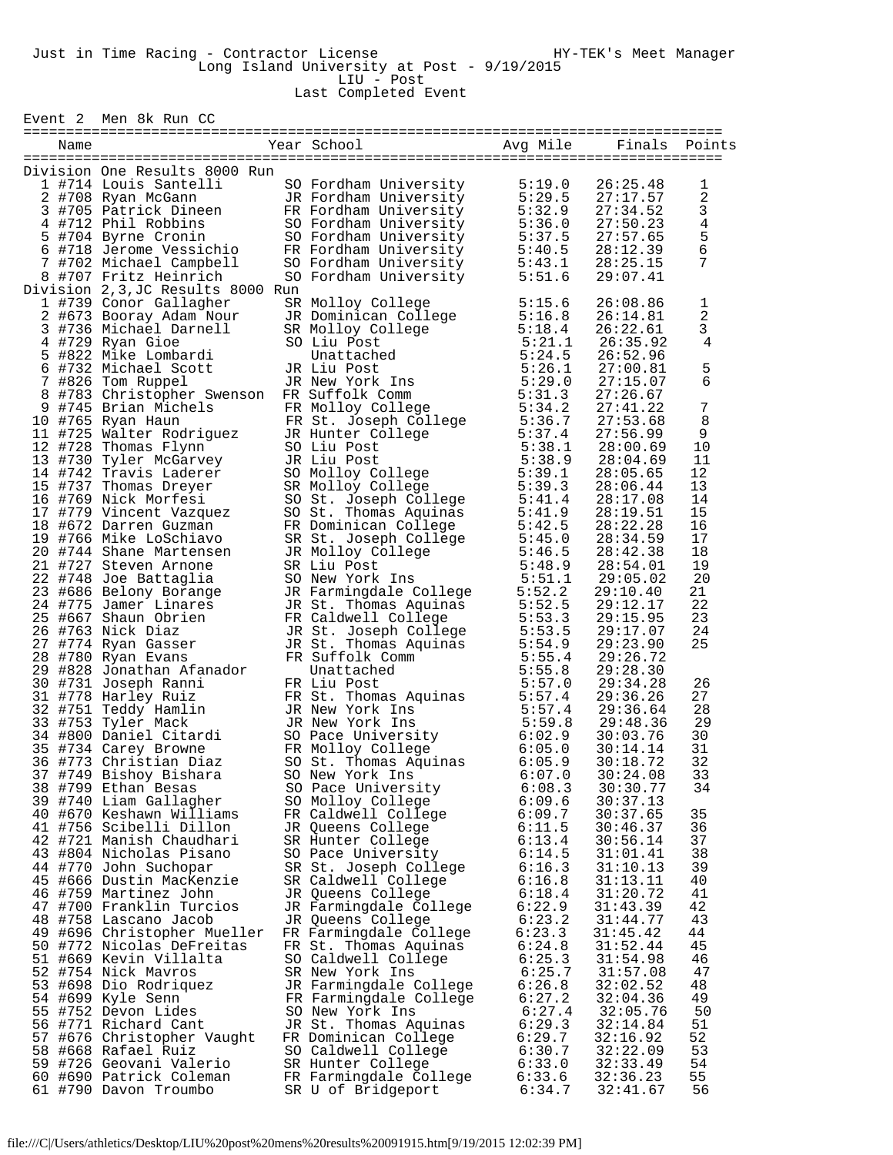Event 2 Men 8k Run CC

| Name |                                                                                                                                                                                                                                              | Year School Near                                                                                                                                                                                                                                             | Avg Mile | Finals               | Points         |
|------|----------------------------------------------------------------------------------------------------------------------------------------------------------------------------------------------------------------------------------------------|--------------------------------------------------------------------------------------------------------------------------------------------------------------------------------------------------------------------------------------------------------------|----------|----------------------|----------------|
|      |                                                                                                                                                                                                                                              |                                                                                                                                                                                                                                                              |          |                      |                |
|      | Division One Results 8000 Run                                                                                                                                                                                                                |                                                                                                                                                                                                                                                              |          |                      |                |
|      | 1 #714 Louis Santelli                                                                                                                                                                                                                        | SO Fordham University                                                                                                                                                                                                                                        | 5:19.0   | 26:25.48             | 1              |
|      |                                                                                                                                                                                                                                              |                                                                                                                                                                                                                                                              |          | 27:17.57             | $\overline{2}$ |
|      |                                                                                                                                                                                                                                              |                                                                                                                                                                                                                                                              |          | 27:34.52             | 3              |
|      | 1 +714 Hours Santenn So Fordmann University<br>2 +708 Ryan McGann<br>3 +705 Patrick Dineen FR Fordham University<br>4 +712 Phil Robbins SO Fordham University<br>5 :32.9<br>5 +704 Byrne Cronin SO Fordham University<br>5 :37.5<br>6 +718 J |                                                                                                                                                                                                                                                              |          | 27:50.23             | $\bf 4$        |
|      |                                                                                                                                                                                                                                              |                                                                                                                                                                                                                                                              |          | 27:57.65             |                |
|      |                                                                                                                                                                                                                                              |                                                                                                                                                                                                                                                              |          | 28:12.39             | $\frac{5}{6}$  |
|      |                                                                                                                                                                                                                                              |                                                                                                                                                                                                                                                              |          | 28:25.15             | 7              |
|      | 8 #707 Fritz Heinrich                                                                                                                                                                                                                        | SO Fordham University                                                                                                                                                                                                                                        | 5:51.6   | 29:07.41             |                |
|      | Division 2,3, JC Results 8000 Run                                                                                                                                                                                                            |                                                                                                                                                                                                                                                              |          |                      |                |
|      | 1 #739 Conor Gallagher                                                                                                                                                                                                                       |                                                                                                                                                                                                                                                              |          | 26:08.86             | 1              |
|      | 1 #739 Conor Gallagher<br>2 #673 Booray Adam Nour<br>3 #736 Michael Darnell                                                                                                                                                                  |                                                                                                                                                                                                                                                              |          | 26:14.81             | 2              |
|      |                                                                                                                                                                                                                                              |                                                                                                                                                                                                                                                              |          | 26:22.61             | 3              |
|      | 4 #729 Ryan Gioe                                                                                                                                                                                                                             |                                                                                                                                                                                                                                                              |          | 26:35.92             | 4              |
| 5    | #822 Mike Lombardi                                                                                                                                                                                                                           |                                                                                                                                                                                                                                                              |          | 26:52.96             |                |
|      | 6 #732 Michael Scott                                                                                                                                                                                                                         |                                                                                                                                                                                                                                                              |          | 27:00.81             | 5              |
|      | 7 #826 Tom Ruppel                                                                                                                                                                                                                            |                                                                                                                                                                                                                                                              |          | 27:15.07             | 6              |
|      | 8 #783 Christopher Swenson FR Suffolk Comm                                                                                                                                                                                                   |                                                                                                                                                                                                                                                              |          | 27:26.67             |                |
|      | 9 #745 Brian Michels                                                                                                                                                                                                                         |                                                                                                                                                                                                                                                              |          | 27:41.22             | 7              |
|      | 10 #765 Ryan Haun                                                                                                                                                                                                                            |                                                                                                                                                                                                                                                              |          | 27:53.68             | 8              |
|      | 10 #765 Ryan Haun<br>11 #725 Walter Rodriguez                                                                                                                                                                                                |                                                                                                                                                                                                                                                              |          | 27:56.99             | 9              |
|      | 12 #728 Thomas Flynn                                                                                                                                                                                                                         |                                                                                                                                                                                                                                                              |          | 28:00.69             | 10             |
|      |                                                                                                                                                                                                                                              |                                                                                                                                                                                                                                                              |          | 28:04.69             | 11             |
|      | 13 #730 Tyler McGarvey<br>14 #742 Travis Laderer<br>15 #737 Thomas Dreyer<br>16 #769 Nick Morfesi                                                                                                                                            |                                                                                                                                                                                                                                                              |          | 28:05.65             | 12             |
|      |                                                                                                                                                                                                                                              |                                                                                                                                                                                                                                                              |          | 28:06.44             | 13             |
|      |                                                                                                                                                                                                                                              |                                                                                                                                                                                                                                                              |          | 28:17.08             | 14             |
|      |                                                                                                                                                                                                                                              |                                                                                                                                                                                                                                                              |          | 28:19.51             | 15             |
|      |                                                                                                                                                                                                                                              |                                                                                                                                                                                                                                                              |          | 28:22.28             | 16             |
|      | 17 #779 Vincent Vazquez<br>18 #672 Darren Guzman<br>19 #766 Mike LoSchiavo                                                                                                                                                                   |                                                                                                                                                                                                                                                              |          | 28:34.59             | 17             |
|      | 20 #744 Shane Martensen                                                                                                                                                                                                                      |                                                                                                                                                                                                                                                              |          | 28:42.38             | 18             |
|      |                                                                                                                                                                                                                                              |                                                                                                                                                                                                                                                              |          |                      |                |
|      | 21 #727 Steven Arnone                                                                                                                                                                                                                        |                                                                                                                                                                                                                                                              |          | 28:54.01<br>29:05.02 | 19<br>20       |
|      | 22 #748 Joe Battaglia                                                                                                                                                                                                                        |                                                                                                                                                                                                                                                              |          |                      |                |
|      | 23 #686 Belony Borange<br>24 #775 Jamer Linares                                                                                                                                                                                              |                                                                                                                                                                                                                                                              |          | 29:10.40             | 21             |
|      | 24 #775 Jamer Linares                                                                                                                                                                                                                        | So Fordnam University<br>SR Molloy College<br>SR Molloy College<br>5:15.6<br>SR Molloy College<br>5:15.6<br>SR Molloy College<br>5:15.6<br>SR Molloy College<br>5:24.1<br>JR Liu Post<br>5:24.1<br>JR Liu Post<br>5:26.1<br>TR SUffolk Comm<br>FR Molloy Col |          | 29:12.17             | 22             |
|      | 25 #667 Shaun Obrien                                                                                                                                                                                                                         |                                                                                                                                                                                                                                                              |          | 29:15.95             | 23             |
|      | 26 #763 Nick Diaz                                                                                                                                                                                                                            |                                                                                                                                                                                                                                                              |          | 29:17.07             | 24             |
|      | 27 #774 Ryan Gasser                                                                                                                                                                                                                          |                                                                                                                                                                                                                                                              |          | 29:23.90             | 25             |
|      | 28 #780 Ryan Evans                                                                                                                                                                                                                           |                                                                                                                                                                                                                                                              |          | 29:26.72             |                |
|      | 29 #828 Jonathan Afanador                                                                                                                                                                                                                    |                                                                                                                                                                                                                                                              |          | 29:28.30             |                |
|      | 30 #731 Joseph Ranni                                                                                                                                                                                                                         |                                                                                                                                                                                                                                                              |          | 29:34.28             | 26             |
|      | 31 #778 Harley Ruiz                                                                                                                                                                                                                          | FR St. Thomas Aquinas<br>JR New York Ins<br>St. 5:57.4<br>JR New York Ins<br>So Pace University<br>FR Molloy College<br>FR Molloy College<br>So St. Thomas Aquinas<br>So New York Ins<br>So New York Ins<br>So New York Ins<br>6:05.9<br>So New York I       |          | 29:36.26             | 27             |
|      | 32 #751 Teddy Hamlin<br>33 #753 Tyler Mack<br>34 #800 Daniel Citardi                                                                                                                                                                         |                                                                                                                                                                                                                                                              |          | 29:36.64             | 28             |
|      |                                                                                                                                                                                                                                              |                                                                                                                                                                                                                                                              |          | 29:48.36             | 29             |
|      |                                                                                                                                                                                                                                              |                                                                                                                                                                                                                                                              |          | 30:03.76             | 30             |
|      | 35 #734 Carey Browne                                                                                                                                                                                                                         | FR Molloy College<br>Co. Ct. Thomas Agui                                                                                                                                                                                                                     |          | 30:14.14             | 31             |
|      | 36 #773 Christian Diaz                                                                                                                                                                                                                       |                                                                                                                                                                                                                                                              |          | 30:18.72             | 32             |
|      | 37 #749 Bishoy Bishara                                                                                                                                                                                                                       |                                                                                                                                                                                                                                                              |          | 30:24.08             | 33             |
|      | 38 #799 Ethan Besas                                                                                                                                                                                                                          | SO Pace University                                                                                                                                                                                                                                           | 6:08.3   | 30:30.77             | 34             |
|      | 39 #740 Liam Gallagher                                                                                                                                                                                                                       | SO Molloy College                                                                                                                                                                                                                                            | 6:09.6   | 30:37.13             |                |
|      | 40 #670 Keshawn Williams                                                                                                                                                                                                                     | FR Caldwell College                                                                                                                                                                                                                                          | 6:09.7   | 30:37.65             | 35             |
|      | 41 #756 Scibelli Dillon                                                                                                                                                                                                                      | JR Queens College                                                                                                                                                                                                                                            | 6:11.5   | 30:46.37             | 36             |
|      | 42 #721 Manish Chaudhari                                                                                                                                                                                                                     | SR Hunter College                                                                                                                                                                                                                                            | 6:13.4   | 30:56.14             | 37             |
|      | 43 #804 Nicholas Pisano                                                                                                                                                                                                                      | SO Pace University                                                                                                                                                                                                                                           | 6:14.5   | 31:01.41             | 38             |
|      | 44 #770 John Suchopar                                                                                                                                                                                                                        | SR St. Joseph College                                                                                                                                                                                                                                        | 6:16.3   | 31:10.13             | 39             |
|      | 45 #666 Dustin MacKenzie                                                                                                                                                                                                                     | SR Caldwell College                                                                                                                                                                                                                                          | 6:16.8   | 31:13.11             | 40             |
|      | 46 #759 Martinez John                                                                                                                                                                                                                        | JR Queens College                                                                                                                                                                                                                                            | 6:18.4   | 31:20.72             | 41             |
|      | 47 #700 Franklin Turcios                                                                                                                                                                                                                     | JR Farmingdale College                                                                                                                                                                                                                                       | 6:22.9   | 31:43.39             | 42             |
|      | 48 #758 Lascano Jacob                                                                                                                                                                                                                        | JR Queens College                                                                                                                                                                                                                                            | 6:23.2   | 31:44.77             | 43             |
|      | 49 #696 Christopher Mueller                                                                                                                                                                                                                  | FR Farmingdale College                                                                                                                                                                                                                                       | 6:23.3   | 31:45.42             | 44             |
|      | 50 #772 Nicolas DeFreitas                                                                                                                                                                                                                    | FR St. Thomas Aquinas                                                                                                                                                                                                                                        | 6:24.8   | 31:52.44             | 45             |
|      | 51 #669 Kevin Villalta                                                                                                                                                                                                                       | SO Caldwell College                                                                                                                                                                                                                                          | 6:25.3   | 31:54.98             | 46             |
|      | 52 #754 Nick Mavros                                                                                                                                                                                                                          | SR New York Ins                                                                                                                                                                                                                                              | 6:25.7   | 31:57.08             | 47             |
|      | 53 #698 Dio Rodriquez                                                                                                                                                                                                                        | JR Farmingdale College                                                                                                                                                                                                                                       | 6:26.8   | 32:02.52             | 48             |
|      | 54 #699 Kyle Senn                                                                                                                                                                                                                            | FR Farmingdale College                                                                                                                                                                                                                                       | 6:27.2   | 32:04.36             | 49             |
|      | 55 #752 Devon Lides                                                                                                                                                                                                                          | SO New York Ins                                                                                                                                                                                                                                              | 6:27.4   | 32:05.76             | 50             |
|      | 56 #771 Richard Cant                                                                                                                                                                                                                         | JR St. Thomas Aquinas                                                                                                                                                                                                                                        | 6:29.3   | 32:14.84             | 51             |
|      | 57 #676 Christopher Vaught                                                                                                                                                                                                                   | FR Dominican College                                                                                                                                                                                                                                         | 6:29.7   | 32:16.92             | 52             |
|      | 58 #668 Rafael Ruiz                                                                                                                                                                                                                          | SO Caldwell College                                                                                                                                                                                                                                          | 6:30.7   | 32:22.09             | 53             |
|      | 59 #726 Geovani Valerio                                                                                                                                                                                                                      | SR Hunter College                                                                                                                                                                                                                                            | 6:33.0   | 32:33.49             | 54             |
|      | 60 #690 Patrick Coleman                                                                                                                                                                                                                      | FR Farmingdale College                                                                                                                                                                                                                                       | 6:33.6   | 32:36.23             | 55             |
|      | 61 #790 Davon Troumbo                                                                                                                                                                                                                        | SR U of Bridgeport                                                                                                                                                                                                                                           | 6:34.7   | 32:41.67             | 56             |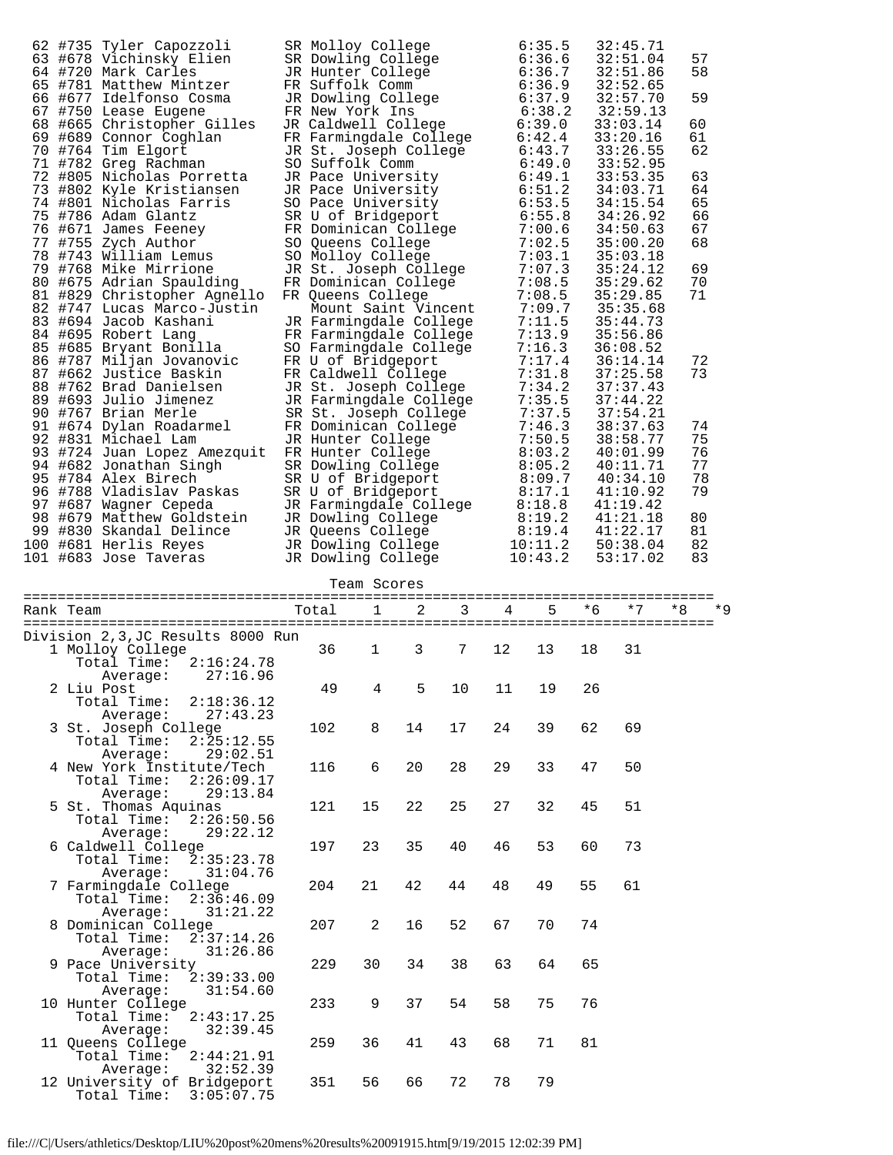| 62 |           | #735 Tyler Capozzoli             | SR Molloy College      |             |   |   |    | 6:35.5  |          | 32:45.71 |    |      |  |
|----|-----------|----------------------------------|------------------------|-------------|---|---|----|---------|----------|----------|----|------|--|
|    |           | 63 #678 Vichinsky Elien          | SR Dowling College     |             |   |   |    | 6:36.6  |          | 32:51.04 |    | 57   |  |
|    |           | 64 #720 Mark Carles              | JR Hunter College      |             |   |   |    | 6:36.7  |          | 32:51.86 |    | 58   |  |
|    |           | 65 #781 Matthew Mintzer          | FR Suffolk Comm        |             |   |   |    | 6:36.9  |          | 32:52.65 |    |      |  |
|    |           | 66 #677 Idelfonso Cosma          | JR Dowling College     |             |   |   |    | 6:37.9  |          | 32:57.70 |    | 59   |  |
|    |           | 67 #750 Lease Eugene             | FR New York Ins        |             |   |   |    | 6:38.2  |          | 32:59.13 |    |      |  |
|    |           | 68 #665 Christopher Gilles       | JR Caldwell College    |             |   |   |    | 6:39.0  |          | 33:03.14 |    | 60   |  |
|    |           | 69 #689 Connor Coghlan           | FR Farmingdale College |             |   |   |    | 6:42.4  | 33:20.16 | 61       |    |      |  |
|    |           | 70 #764 Tim Elgort               | JR St. Joseph College  |             |   |   |    | 6:43.7  | 33:26.55 | 62       |    |      |  |
|    |           | 71 #782 Greg Rachman             | SO Suffolk Comm        |             |   |   |    | 6:49.0  |          | 33:52.95 |    |      |  |
|    |           | 72 #805 Nicholas Porretta        | JR Pace University     |             |   |   |    | 6:49.1  |          | 33:53.35 |    | 63   |  |
|    |           | 73 #802 Kyle Kristiansen         | JR Pace University     |             |   |   |    | 6:51.2  |          | 34:03.71 |    | 64   |  |
|    |           | 74 #801 Nicholas Farris          | SO Pace University     |             |   |   |    | 6:53.5  |          | 34:15.54 |    | 65   |  |
|    |           | 75 #786 Adam Glantz              | SR U of Bridgeport     |             |   |   |    | 6:55.8  |          | 34:26.92 |    | 66   |  |
|    |           | 76 #671 James Feeney             | FR Dominican College   |             |   |   |    | 7:00.6  |          | 34:50.63 |    | 67   |  |
|    |           | 77 #755 Zych Author              | SO Queens College      |             |   |   |    | 7:02.5  |          | 35:00.20 |    | 68   |  |
|    |           | 78 #743 William Lemus            | SO Molloy College      |             |   |   |    | 7:03.1  |          | 35:03.18 |    |      |  |
|    |           | 79 #768 Mike Mirrione            | JR St. Joseph College  |             |   |   |    | 7:07.3  |          | 35:24.12 |    | 69   |  |
|    |           | 80 #675 Adrian Spaulding         | FR Dominican College   |             |   |   |    | 7:08.5  |          | 35:29.62 |    | 70   |  |
|    |           | 81 #829 Christopher Agnello      | FR Queens College      |             |   |   |    | 7:08.5  |          | 35:29.85 |    | 71   |  |
|    |           | 82 #747 Lucas Marco-Justin       | Mount Saint Vincent    |             |   |   |    | 7:09.7  |          | 35:35.68 |    |      |  |
|    |           | 83 #694 Jacob Kashani            | JR Farmingdale College |             |   |   |    | 7:11.5  |          | 35:44.73 |    |      |  |
|    |           | 84 #695 Robert Lang              | FR Farmingdale College |             |   |   |    | 7:13.9  |          | 35:56.86 |    |      |  |
|    |           | 85 #685 Bryant Bonilla           | SO Farmingdale College |             |   |   |    | 7:16.3  |          | 36:08.52 |    |      |  |
|    |           | 86 #787 Miljan Jovanovic         | FR U of Bridgeport     |             |   |   |    | 7:17.4  |          | 36:14.14 |    | 72   |  |
|    |           | 87 #662 Justice Baskin           | FR Caldwell College    |             |   |   |    | 7:31.8  |          | 37:25.58 |    | 73   |  |
|    |           | 88 #762 Brad Danielsen           | JR St. Joseph College  |             |   |   |    | 7:34.2  |          | 37:37.43 |    |      |  |
|    |           | 89 #693 Julio Jimenez            | JR Farmingdale College |             |   |   |    | 7:35.5  |          | 37:44.22 |    |      |  |
|    |           | 90 #767 Brian Merle              | SR St. Joseph College  |             |   |   |    | 7:37.5  |          | 37:54.21 |    |      |  |
|    |           | 91 #674 Dylan Roadarmel          | FR Dominican College   |             |   |   |    | 7:46.3  |          | 38:37.63 |    | 74   |  |
|    |           | 92 #831 Michael Lam              | JR Hunter College      |             |   |   |    | 7:50.5  |          | 38:58.77 |    | 75   |  |
|    |           | 93 #724 Juan Lopez Amezquit      | FR Hunter College      |             |   |   |    | 8:03.2  |          | 40:01.99 |    | 76   |  |
|    |           | 94 #682 Jonathan Singh           | SR Dowling College     |             |   |   |    | 8:05.2  |          | 40:11.71 |    | 77   |  |
|    |           | 95 #784 Alex Birech              | SR U of Bridgeport     |             |   |   |    | 8:09.7  |          | 40:34.10 |    | 78   |  |
|    |           | 96 #788 Vladislav Paskas         | SR U of Bridgeport     |             |   |   |    | 8:17.1  |          | 41:10.92 |    | 79   |  |
|    |           | 97 #687 Waqner Cepeda            | JR Farmingdale College |             |   |   |    | 8:18.8  |          | 41:19.42 |    |      |  |
|    |           | 98 #679 Matthew Goldstein        | JR Dowling College     |             |   |   |    | 8:19.2  |          | 41:21.18 |    | 80   |  |
|    |           | 99 #830 Skandal Delince          | JR Queens College      |             |   |   |    | 8:19.4  |          | 41:22.17 |    | 81   |  |
|    |           | 100 #681 Herlis Reyes            | JR Dowling College     |             |   |   |    | 10:11.2 |          | 50:38.04 |    | 82   |  |
|    |           | 101 #683 Jose Taveras            | JR Dowling College     |             |   |   |    | 10:43.2 |          | 53:17.02 |    | 83   |  |
|    |           |                                  |                        |             |   |   |    |         |          |          |    |      |  |
|    |           |                                  |                        | Team Scores |   |   |    |         |          |          |    |      |  |
|    | Rank Team |                                  | Total                  | 1           | 2 | 3 | 4  | 5       | * 6      | $*7$     | *8 | $*9$ |  |
|    |           |                                  |                        |             |   |   |    |         |          |          |    |      |  |
|    |           | Division 2,3,JC Results 8000 Run |                        |             |   |   |    |         |          |          |    |      |  |
|    |           | 1 Molloy College                 | 36                     | 1           | 3 | 7 | 12 | 13      | 18       | 31       |    |      |  |

| $1011$ 2,9,00 $1000$        |     |              |    |    |    |    |    |    |
|-----------------------------|-----|--------------|----|----|----|----|----|----|
| 1 Molloy College            | 36  | $\mathbf{1}$ | 3  | 7  | 12 | 13 | 18 | 31 |
| Total Time: 2:16:24.78      |     |              |    |    |    |    |    |    |
| 27:16.96<br>Average:        |     |              |    |    |    |    |    |    |
| 2 Liu Post                  | 49  | 4            | 5  | 10 | 11 | 19 | 26 |    |
| Total Time: 2:18:36.12      |     |              |    |    |    |    |    |    |
| 27:43.23<br>Average:        |     |              |    |    |    |    |    |    |
| 3 St. Joseph College        | 102 | 8            | 14 | 17 | 24 | 39 | 62 | 69 |
| Total Time: $2:25:12.55$    |     |              |    |    |    |    |    |    |
|                             |     |              |    |    |    |    |    |    |
| 29:02.51<br>Average:        |     |              |    |    |    |    |    |    |
| 4 New York Institute/Tech   | 116 | 6            | 20 | 28 | 29 | 33 | 47 | 50 |
| 2:26:09.17<br>Total Time:   |     |              |    |    |    |    |    |    |
| 29:13.84<br>Average:        |     |              |    |    |    |    |    |    |
| 5 St. Thomas Aquinas        | 121 | 15           | 22 | 25 | 27 | 32 | 45 | 51 |
| 2:26:50.56<br>Total Time:   |     |              |    |    |    |    |    |    |
| 29:22.12<br>Average:        |     |              |    |    |    |    |    |    |
| 6 Caldwell College          | 197 | 23           | 35 | 40 | 46 | 53 | 60 | 73 |
| Total Time: 2:35:23.78      |     |              |    |    |    |    |    |    |
| Average:<br>31:04.76        |     |              |    |    |    |    |    |    |
| 7 Farmingdale College       | 204 | 21           | 42 | 44 | 48 | 49 | 55 | 61 |
| Total Time: 2:36:46.09      |     |              |    |    |    |    |    |    |
| 31:21.22<br>Average:        |     |              |    |    |    |    |    |    |
| 8 Dominican College         | 207 | 2            | 16 | 52 | 67 | 70 | 74 |    |
| Total Time: 2:37:14.26      |     |              |    |    |    |    |    |    |
| 31:26.86<br>Average:        |     |              |    |    |    |    |    |    |
| 9 Pace University           | 229 | 30           | 34 | 38 | 63 | 64 | 65 |    |
| 2:39:33.00<br>Total Time:   |     |              |    |    |    |    |    |    |
| 31:54.60<br>Average:        |     |              |    |    |    |    |    |    |
| 10 Hunter College           | 233 | 9            | 37 | 54 | 58 | 75 | 76 |    |
| 2:43:17.25<br>Total Time:   |     |              |    |    |    |    |    |    |
|                             |     |              |    |    |    |    |    |    |
| 32:39.45<br>Average:        |     |              |    |    |    |    |    |    |
| 11 Queens College           | 259 | 36           | 41 | 43 | 68 | 71 | 81 |    |
| Total Time:<br>2:44:21.91   |     |              |    |    |    |    |    |    |
| 32:52.39<br>Average:        |     |              |    |    |    |    |    |    |
| 12 University of Bridgeport | 351 | 56           | 66 | 72 | 78 | 79 |    |    |
| Total Time:<br>3:05:07.75   |     |              |    |    |    |    |    |    |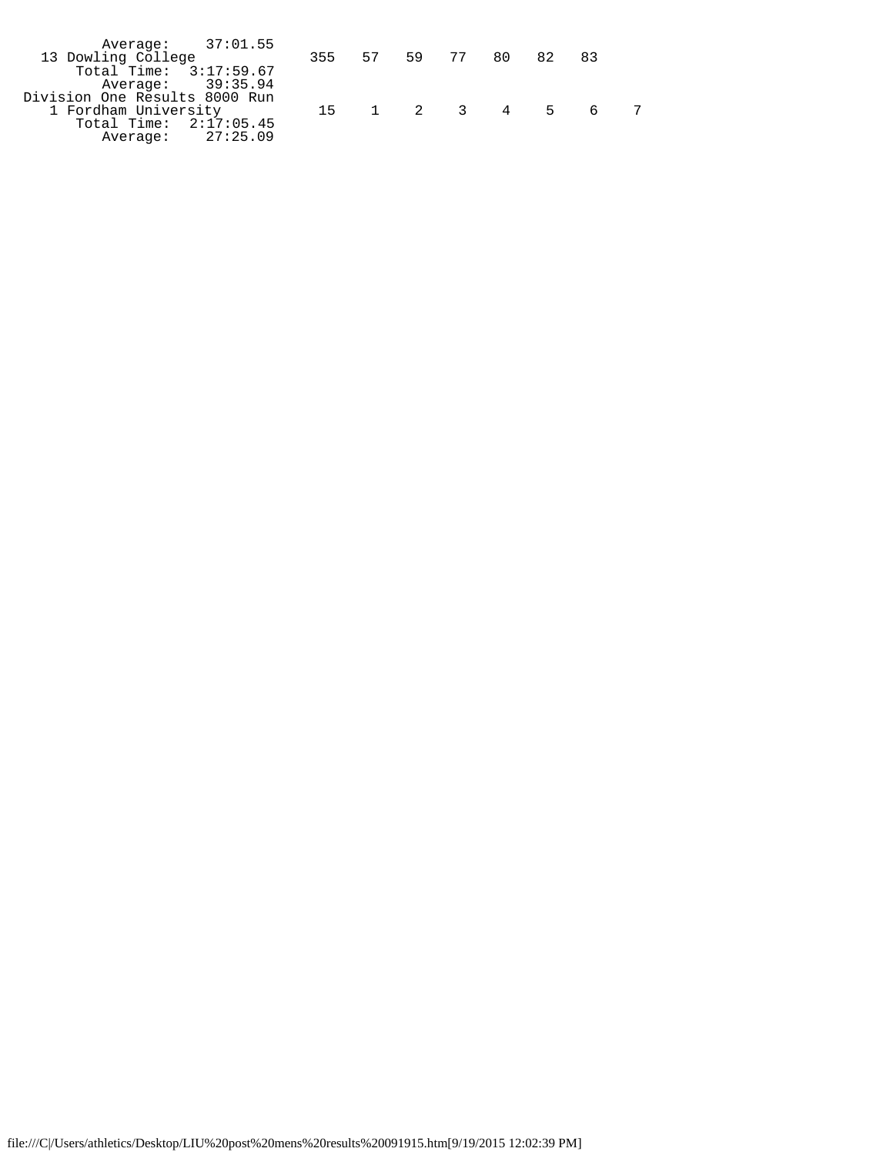| Average: 37:01.55             |                       |  |  |                  |  |
|-------------------------------|-----------------------|--|--|------------------|--|
| 13 Dowling College            | 355 57 59 77 80 82 83 |  |  |                  |  |
| Total Time: 3:17:59.67        |                       |  |  |                  |  |
| Average: 39:35.94             |                       |  |  |                  |  |
| Division One Results 8000 Run |                       |  |  |                  |  |
| 1 Fordham University          |                       |  |  | 15 1 2 3 4 5 6 7 |  |
| Total Time: 2:17:05.45        |                       |  |  |                  |  |
| Average: 27:25.09             |                       |  |  |                  |  |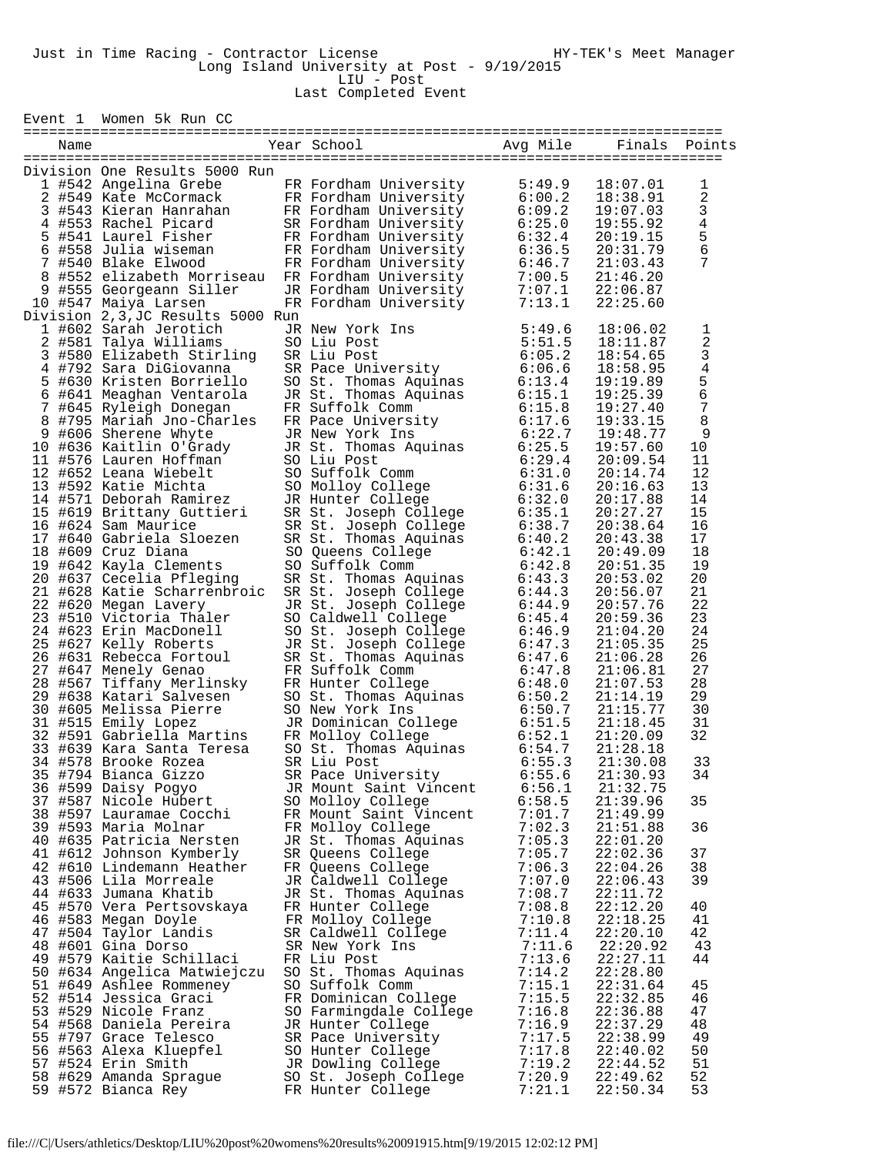Event 1 Women 5k Run CC

| Name |                                                                                                                                                                                                                                             | Year School                                                                                                                                                                                                | Avg Mile | Finals   | Points                  |
|------|---------------------------------------------------------------------------------------------------------------------------------------------------------------------------------------------------------------------------------------------|------------------------------------------------------------------------------------------------------------------------------------------------------------------------------------------------------------|----------|----------|-------------------------|
|      |                                                                                                                                                                                                                                             |                                                                                                                                                                                                            |          |          |                         |
|      | Division One Results 5000 Run                                                                                                                                                                                                               |                                                                                                                                                                                                            |          |          |                         |
|      | 1 #542 Angelina Grebe FR Fordham University                                                                                                                                                                                                 |                                                                                                                                                                                                            | 5:49.9   | 18:07.01 | 1                       |
|      | 2 #549 Kate McCormack FR Fordham University<br>3 #543 Kieran Hanrahan FR Fordham University                                                                                                                                                 |                                                                                                                                                                                                            | 6:00.2   | 18:38.91 | $\overline{\mathbf{c}}$ |
|      |                                                                                                                                                                                                                                             |                                                                                                                                                                                                            | 6:09.2   | 19:07.03 | $\frac{3}{4}$           |
|      | 4 #553 Rachel Picard SR Fordham University<br>5 #541 Laurel Fisher FR Fordham University                                                                                                                                                    | SR Fordham University<br>FR Fordham University                                                                                                                                                             | 6:25.0   | 19:55.92 |                         |
|      |                                                                                                                                                                                                                                             |                                                                                                                                                                                                            | 6:32.4   | 20:19.15 | $\frac{5}{6}$           |
|      | 9 #558 Julia wiseman<br>7 #540 Blake Elwood<br>8 #552 elizabeth Morriseau FR Fordham University<br>9 #555 Georgeann Siller<br>10 #547 Maiya Larsen<br>10 #547 Maiya Larsen<br>10 FR Fordham University<br>10 PR Fordham University          |                                                                                                                                                                                                            | 6:36.5   | 20:31.79 |                         |
|      |                                                                                                                                                                                                                                             |                                                                                                                                                                                                            | 6:46.7   | 21:03.43 | 7                       |
|      |                                                                                                                                                                                                                                             |                                                                                                                                                                                                            | 7:00.5   | 21:46.20 |                         |
|      |                                                                                                                                                                                                                                             |                                                                                                                                                                                                            | 7:07.1   | 22:06.87 |                         |
|      | 10 #547 Maiya Larsen                                                                                                                                                                                                                        |                                                                                                                                                                                                            | 7:13.1   | 22:25.60 |                         |
|      | Division 2, 3, JC Results 5000 Run                                                                                                                                                                                                          |                                                                                                                                                                                                            |          |          |                         |
|      |                                                                                                                                                                                                                                             | JR New York Ins                                                                                                                                                                                            | 5:49.6   | 18:06.02 | 1                       |
|      | 1 #602 Sarah Jerotich<br>2 #581 Talya Williams                                                                                                                                                                                              |                                                                                                                                                                                                            | 5:51.5   | 18:11.87 |                         |
|      |                                                                                                                                                                                                                                             | SO Liu Post<br>SR Liu Post<br>SR Pace University                                                                                                                                                           | 6:05.2   | 18:54.65 | $\frac{2}{3}$           |
|      | 3 #580 Elizabeth Stirling<br>4 #792 Sara DiGiovanna<br>5 #630 Kristen Borriello SO St. Thoma<br>6 #641 Meaghan Ventarola JR St. Thoma                                                                                                       |                                                                                                                                                                                                            | 6:06.6   | 18:58.95 | $\overline{4}$          |
|      |                                                                                                                                                                                                                                             | So Face University<br>SO St. Thomas Aquinas<br>JR St. Thomas Aquinas<br>FR Suffolk Comm<br>FR Pace University<br>JR New York Ins<br>JR St. Thomas Aquinas<br>SO Liu Post<br>SO Liu Post<br>SO Suffolk Comm | 6:13.4   |          |                         |
|      |                                                                                                                                                                                                                                             |                                                                                                                                                                                                            |          | 19:19.89 | $\frac{5}{6}$           |
|      |                                                                                                                                                                                                                                             |                                                                                                                                                                                                            | 6:15.1   | 19:25.39 | $\sqrt{ }$              |
|      | % #645 Ryleigh Donegan<br>8 #795 Mariah Jno-Charles                                                                                                                                                                                         |                                                                                                                                                                                                            | 6:15.8   | 19:27.40 |                         |
|      |                                                                                                                                                                                                                                             |                                                                                                                                                                                                            | 6:17.6   | 19:33.15 | 8                       |
|      |                                                                                                                                                                                                                                             |                                                                                                                                                                                                            | 6:22.7   | 19:48.77 | 9                       |
|      |                                                                                                                                                                                                                                             |                                                                                                                                                                                                            | 6:25.5   | 19:57.60 | 10                      |
|      |                                                                                                                                                                                                                                             |                                                                                                                                                                                                            | 6:29.4   | 20:09.54 | 11                      |
|      |                                                                                                                                                                                                                                             |                                                                                                                                                                                                            | 6:31.0   | 20:14.74 | 12                      |
|      |                                                                                                                                                                                                                                             | SO Molloy College<br>JR Hunter College                                                                                                                                                                     | 6:31.6   | 20:16.63 | 13                      |
|      |                                                                                                                                                                                                                                             | JR Hunter College                                                                                                                                                                                          | 6:32.0   | 20:17.88 | 14                      |
|      |                                                                                                                                                                                                                                             |                                                                                                                                                                                                            | 6:35.1   | 20:27.27 | 15                      |
|      | 9 #606 Sherene Whyte<br>10 #636 Sherene Whyte<br>10 #636 Sherene Whyte<br>11 #576 Lauren Hoffman<br>12 #652 Leana Wiebelt<br>13 #592 Katie Michta<br>14 #571 Deborah Ramirez<br>15 #624 Sam Maurice<br>16 #624 Sam Maurice                  | SR St. Joseph College<br>SR St. Joseph College<br>SR St. Thomas Aquinas<br>SO Queens College<br>SO Suffolk Comm<br>SR St. Thomas Aquinas                                                                   | 6:38.7   | 20:38.64 | 16                      |
|      | 17 #640 Gabriela Sloezen                                                                                                                                                                                                                    |                                                                                                                                                                                                            | 6:40.2   | 20:43.38 | 17                      |
|      | 18 #609 Cruz Diana                                                                                                                                                                                                                          |                                                                                                                                                                                                            | 6:42.1   | 20:49.09 | 18                      |
|      | 19 #642 Kayla Clements                                                                                                                                                                                                                      |                                                                                                                                                                                                            | 6:42.8   | 20:51.35 | 19                      |
|      | 20 #637 Cecelia Pfleging                                                                                                                                                                                                                    |                                                                                                                                                                                                            | 6:43.3   | 20:53.02 | 20                      |
|      | 21 #628 Katie Scharrenbroic                                                                                                                                                                                                                 |                                                                                                                                                                                                            | 6:44.3   | 20:56.07 | 21                      |
|      | 22 #620 Megan Lavery                                                                                                                                                                                                                        |                                                                                                                                                                                                            | 6:44.9   | 20:57.76 | 22                      |
|      | 23 #510 Victoria Thaler                                                                                                                                                                                                                     | SR St. Joseph College<br>JR St. Joseph College<br>SO Caldwell College<br>SO St. Joseph College                                                                                                             | 6:45.4   | 20:59.36 | 23                      |
|      |                                                                                                                                                                                                                                             |                                                                                                                                                                                                            |          |          | 24                      |
|      | 24 #623 Erin MacDonell                                                                                                                                                                                                                      |                                                                                                                                                                                                            | 6:46.9   | 21:04.20 |                         |
|      | 25 #627 Kelly Roberts                                                                                                                                                                                                                       | JR St. Joseph College<br>JR St. Joseph College<br>SR St. Thomas Aquinas<br>FR Suffolk Comm<br>FR Hunter College<br>SO St. Thomas Aquinas<br>SO St. Thomas Aquinas<br>6:50.2                                |          | 21:05.35 | 25                      |
|      | 25 #627 Kelly Roberts<br>26 #631 Rebecca Fortoul SR St. Joseph College<br>27 #647 Menely Genao<br>28 #567 Tifany Merlinsky FR Hunter College<br>29 #638 Katari Salvesen SO St. Thomas Aquinas<br>30 #605 Melissa Pierre SO New York Ins<br> |                                                                                                                                                                                                            |          | 21:06.28 | 26                      |
|      |                                                                                                                                                                                                                                             |                                                                                                                                                                                                            |          | 21:06.81 | 27                      |
|      |                                                                                                                                                                                                                                             |                                                                                                                                                                                                            |          | 21:07.53 | 28                      |
|      |                                                                                                                                                                                                                                             |                                                                                                                                                                                                            |          | 21:14.19 | 29                      |
|      |                                                                                                                                                                                                                                             |                                                                                                                                                                                                            | 6:50.7   | 21:15.77 | 30                      |
|      |                                                                                                                                                                                                                                             |                                                                                                                                                                                                            | 6:51.5   | 21:18.45 | 31                      |
|      |                                                                                                                                                                                                                                             |                                                                                                                                                                                                            | 6:52.1   | 21:20.09 | 32                      |
|      |                                                                                                                                                                                                                                             |                                                                                                                                                                                                            | 6:54.7   | 21:28.18 |                         |
|      |                                                                                                                                                                                                                                             |                                                                                                                                                                                                            | 6:55.3   | 21:30.08 | 33                      |
|      | 35 #794 Bianca Gizzo                                                                                                                                                                                                                        | SR Pace University                                                                                                                                                                                         | 6:55.6   | 21:30.93 | 34                      |
|      | 36 #599 Daisy Pogyo                                                                                                                                                                                                                         | JR Mount Saint Vincent                                                                                                                                                                                     | 6:56.1   | 21:32.75 |                         |
|      | 37 #587 Nicole Hubert                                                                                                                                                                                                                       | SO Molloy College                                                                                                                                                                                          | 6:58.5   | 21:39.96 | 35                      |
|      | 38 #597 Lauramae Cocchi                                                                                                                                                                                                                     | FR Mount Saint Vincent                                                                                                                                                                                     | 7:01.7   | 21:49.99 |                         |
|      | 39 #593 Maria Molnar                                                                                                                                                                                                                        | FR Molloy College                                                                                                                                                                                          | 7:02.3   | 21:51.88 | 36                      |
|      | 40 #635 Patricia Nersten                                                                                                                                                                                                                    | JR St. Thomas Aquinas                                                                                                                                                                                      | 7:05.3   | 22:01.20 |                         |
|      | 41 #612 Johnson Kymberly                                                                                                                                                                                                                    | SR Queens College                                                                                                                                                                                          | 7:05.7   | 22:02.36 | 37                      |
|      | 42 #610 Lindemann Heather                                                                                                                                                                                                                   | FR Queens College                                                                                                                                                                                          | 7:06.3   | 22:04.26 | 38                      |
|      | 43 #506 Lila Morreale                                                                                                                                                                                                                       | JR Caldwell College                                                                                                                                                                                        | 7:07.0   | 22:06.43 | 39                      |
|      |                                                                                                                                                                                                                                             |                                                                                                                                                                                                            |          |          |                         |
|      | 44 #633 Jumana Khatib                                                                                                                                                                                                                       | JR St. Thomas Aquinas                                                                                                                                                                                      | 7:08.7   | 22:11.72 |                         |
|      | 45 #570 Vera Pertsovskaya                                                                                                                                                                                                                   | FR Hunter College                                                                                                                                                                                          | 7:08.8   | 22:12.20 | 40                      |
|      | 46 #583 Megan Doyle                                                                                                                                                                                                                         | FR Molloy College                                                                                                                                                                                          | 7:10.8   | 22:18.25 | 41                      |
|      | 47 #504 Taylor Landis                                                                                                                                                                                                                       | SR Caldwell College                                                                                                                                                                                        | 7:11.4   | 22:20.10 | 42                      |
|      | 48 #601 Gina Dorso                                                                                                                                                                                                                          | SR New York Ins                                                                                                                                                                                            | 7:11.6   | 22:20.92 | 43                      |
|      | 49 #579 Kaitie Schillaci                                                                                                                                                                                                                    | FR Liu Post                                                                                                                                                                                                | 7:13.6   | 22:27.11 | 44                      |
|      | 50 #634 Angelica Matwiejczu                                                                                                                                                                                                                 | SO St. Thomas Aquinas                                                                                                                                                                                      | 7:14.2   | 22:28.80 |                         |
|      | 51 #649 Ashlee Rommeney                                                                                                                                                                                                                     | SO Suffolk Comm                                                                                                                                                                                            | 7:15.1   | 22:31.64 | 45                      |
|      | 52 #514 Jessica Graci                                                                                                                                                                                                                       | FR Dominican College                                                                                                                                                                                       | 7:15.5   | 22:32.85 | 46                      |
|      | 53 #529 Nicole Franz                                                                                                                                                                                                                        | SO Farmingdale College                                                                                                                                                                                     | 7:16.8   | 22:36.88 | 47                      |
|      | 54 #568 Daniela Pereira                                                                                                                                                                                                                     | JR Hunter College                                                                                                                                                                                          | 7:16.9   | 22:37.29 | 48                      |
|      | 55 #797 Grace Telesco                                                                                                                                                                                                                       | SR Pace University                                                                                                                                                                                         | 7:17.5   | 22:38.99 | 49                      |
|      | 56 #563 Alexa Kluepfel                                                                                                                                                                                                                      | SO Hunter College                                                                                                                                                                                          | 7:17.8   | 22:40.02 | 50                      |
|      | 57 #524 Erin Smith                                                                                                                                                                                                                          | JR Dowling College                                                                                                                                                                                         | 7:19.2   | 22:44.52 | 51                      |
|      | 58 #629 Amanda Sprague                                                                                                                                                                                                                      | SO St. Joseph College                                                                                                                                                                                      | 7:20.9   | 22:49.62 | 52                      |
|      | 59 #572 Bianca Rey                                                                                                                                                                                                                          | FR Hunter College                                                                                                                                                                                          | 7:21.1   | 22:50.34 | 53                      |
|      |                                                                                                                                                                                                                                             |                                                                                                                                                                                                            |          |          |                         |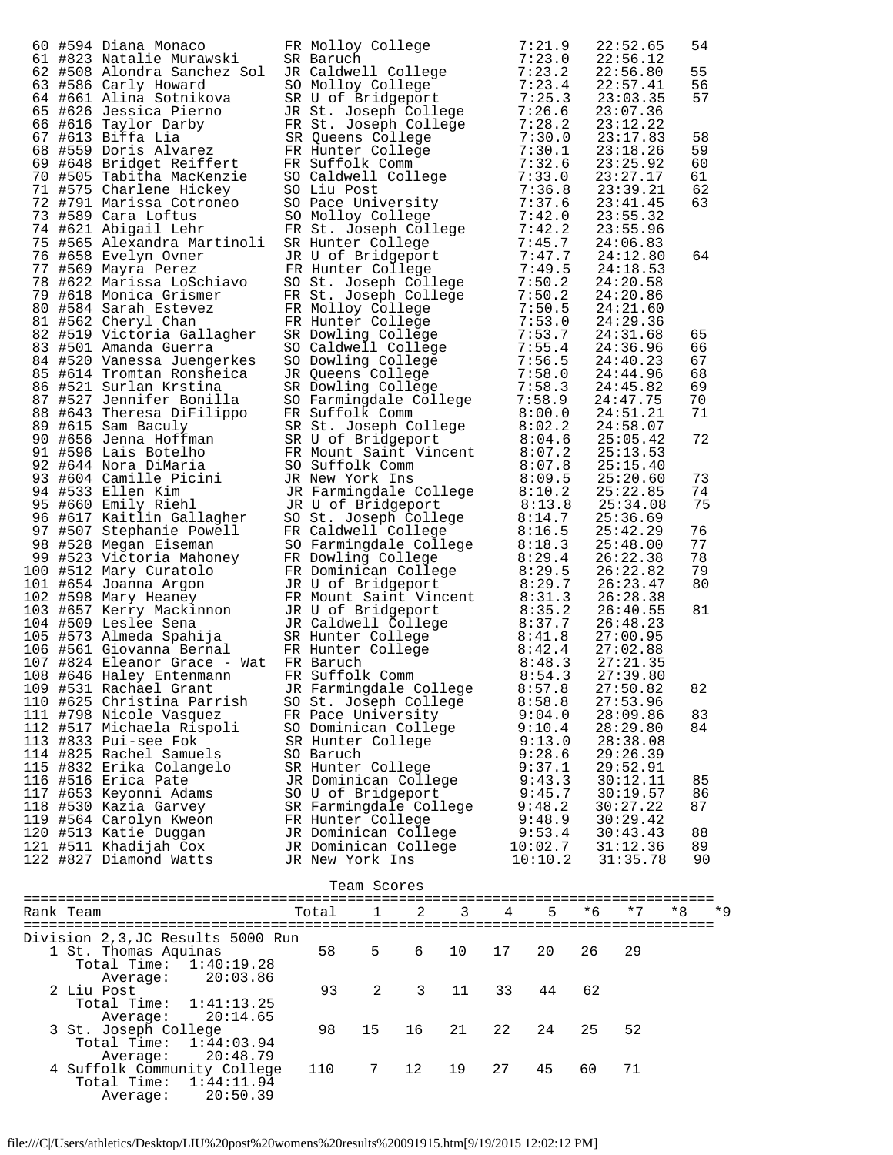|            | 60 #934 Diama Monaco FR Molloy College 7:23, 9<br>61 #823 Natalie Murawski 3R Raruch 7:23, 9<br>62 #826 Alcohem Sanchem Soliton (1911ere 7:23, 9<br>63 #826 Alcohem Sanchem Soliton (1911ere 7:23, 9<br>63 #8260 Caling Socialists (1<br>109 #531 Rachael Grant       JR Farmingdale College     8:57.8<br>110 #625 Christina Parrish<br>111 #798 Nicole Vasquez<br>112 #517 Michaela Rispoli<br>113 #833 Pui-see Fok<br>114 #825 Rachel Samuels<br>115 #832 Erika Colangelo<br>116 #516 Erica Pate<br>117 #653 Keyonni Adams<br>118 #530 Kazia Garvey<br>119 #564 Carolyn Kweon | SO Baruch | SO St. Joseph College<br>FR Pace University<br>SO Dominican College<br>SR Hunter College<br>SR Hunter College<br>JR Dominican College<br>SO U of Bridgeport<br>SR Farmingdale College<br>FR Hunter College |             |    |    | 8:58.8<br>9:04.0<br>9:10.4<br>9:13.0<br>9:28.6<br>9:37.1<br>9:43.3<br>9:45.7<br>9:48.2<br>9:48.9 |      | 22:52.65<br>22:56.12<br>22:56.80<br>22:57.41<br>23:03.35<br>23:07.36<br>23:12.22<br>23:17.83<br>23:18.26<br>23:25.92<br>23:27.17<br>23:39.21<br>23:41.45<br>23:55.32<br>23:55.96<br>24:06.83<br>24:12.80<br>24:18.53<br>24:20.58<br>24:20.86<br>24:21.60<br>24:29.36<br>24:31.68<br>24:36.96<br>24:40.23<br>24:44.96<br>24:45.82<br>24:47.75<br>24:51.21<br>24:58.07<br>25:05.42<br>25:13.53<br>25:15.40<br>25:20.60<br>25:22.85<br>25:34.08<br>25:36.69<br>25:42.29<br>25:48.00<br>26:22.38<br>26:22.82<br>26:23.47<br>26:28.38<br>26:40.55<br>26:48.23<br>27:00.95<br>27:02.88<br>27:21.35<br>27:39.80<br>27:50.82<br>27:53.96<br>28:09.86<br>28:29.80<br>28:38.08<br>29:26.39<br>29:52.91<br>30:12.11<br>30:19.57<br>30:27.22<br>30:29.42 | 54<br>55<br>56<br>57<br>58<br>59<br>60<br>61<br>62<br>63<br>64<br>65<br>66<br>67<br>68<br>69<br>70<br>71<br>72<br>73<br>74<br>75<br>76<br>77<br>78<br>79<br>80<br>81<br>82<br>83<br>84<br>85<br>86<br>87 |
|------------|----------------------------------------------------------------------------------------------------------------------------------------------------------------------------------------------------------------------------------------------------------------------------------------------------------------------------------------------------------------------------------------------------------------------------------------------------------------------------------------------------------------------------------------------------------------------------------|-----------|------------------------------------------------------------------------------------------------------------------------------------------------------------------------------------------------------------|-------------|----|----|--------------------------------------------------------------------------------------------------|------|----------------------------------------------------------------------------------------------------------------------------------------------------------------------------------------------------------------------------------------------------------------------------------------------------------------------------------------------------------------------------------------------------------------------------------------------------------------------------------------------------------------------------------------------------------------------------------------------------------------------------------------------------------------------------------------------------------------------------------------------|----------------------------------------------------------------------------------------------------------------------------------------------------------------------------------------------------------|
|            | 120 #513 Katie Duqqan<br>121 #511 Khadijah Cox<br>122 #827 Diamond Watts                                                                                                                                                                                                                                                                                                                                                                                                                                                                                                         |           | JR Dominican College<br>JR Dominican College<br>JR New York Ins                                                                                                                                            |             |    |    | 9:53.4<br>10:02.7<br>10:10.2                                                                     |      | 30:43.43<br>31:12.36<br>31:35.78                                                                                                                                                                                                                                                                                                                                                                                                                                                                                                                                                                                                                                                                                                             | 88<br>89<br>90                                                                                                                                                                                           |
|            |                                                                                                                                                                                                                                                                                                                                                                                                                                                                                                                                                                                  |           | Team Scores                                                                                                                                                                                                |             |    |    |                                                                                                  |      |                                                                                                                                                                                                                                                                                                                                                                                                                                                                                                                                                                                                                                                                                                                                              |                                                                                                                                                                                                          |
| Rank Team  |                                                                                                                                                                                                                                                                                                                                                                                                                                                                                                                                                                                  | Total     | $\mathbf{1}$                                                                                                                                                                                               | $2^{\circ}$ | 3  | 4  | 5                                                                                                | $*6$ | $*7$                                                                                                                                                                                                                                                                                                                                                                                                                                                                                                                                                                                                                                                                                                                                         | $*8$<br>$*9$                                                                                                                                                                                             |
|            | Division 2,3,JC Results 5000 Run                                                                                                                                                                                                                                                                                                                                                                                                                                                                                                                                                 |           |                                                                                                                                                                                                            |             |    |    |                                                                                                  |      |                                                                                                                                                                                                                                                                                                                                                                                                                                                                                                                                                                                                                                                                                                                                              |                                                                                                                                                                                                          |
|            | 1 St. Thomas Aquinas<br>Total Time:<br>1:40:19.28                                                                                                                                                                                                                                                                                                                                                                                                                                                                                                                                | 58        | 5                                                                                                                                                                                                          | 6           | 10 | 17 | 20                                                                                               | 26   | 29                                                                                                                                                                                                                                                                                                                                                                                                                                                                                                                                                                                                                                                                                                                                           |                                                                                                                                                                                                          |
| 2 Liu Post | 20:03.86<br>Average:<br>Total Time:<br>1:41:13.25                                                                                                                                                                                                                                                                                                                                                                                                                                                                                                                                | 93        | 2                                                                                                                                                                                                          | 3           | 11 | 33 | 44                                                                                               | 62   |                                                                                                                                                                                                                                                                                                                                                                                                                                                                                                                                                                                                                                                                                                                                              |                                                                                                                                                                                                          |
|            | 20:14.65<br>Average:<br>3 St. Joseph College<br>Total Time:<br>1:44:03.94                                                                                                                                                                                                                                                                                                                                                                                                                                                                                                        | 98        | 15                                                                                                                                                                                                         | 16          | 21 | 22 | 24                                                                                               | 25   | 52                                                                                                                                                                                                                                                                                                                                                                                                                                                                                                                                                                                                                                                                                                                                           |                                                                                                                                                                                                          |
|            | 20:48.79<br>Average:                                                                                                                                                                                                                                                                                                                                                                                                                                                                                                                                                             |           |                                                                                                                                                                                                            |             |    |    |                                                                                                  |      |                                                                                                                                                                                                                                                                                                                                                                                                                                                                                                                                                                                                                                                                                                                                              |                                                                                                                                                                                                          |

file:///C|/Users/athletics/Desktop/LIU%20post%20womens%20results%20091915.htm[9/19/2015 12:02:12 PM]

 Total Time: 1:44:11.94 Average: 20:50.39

4 Suffolk Community College 110 7 12 19 27 45 60 71